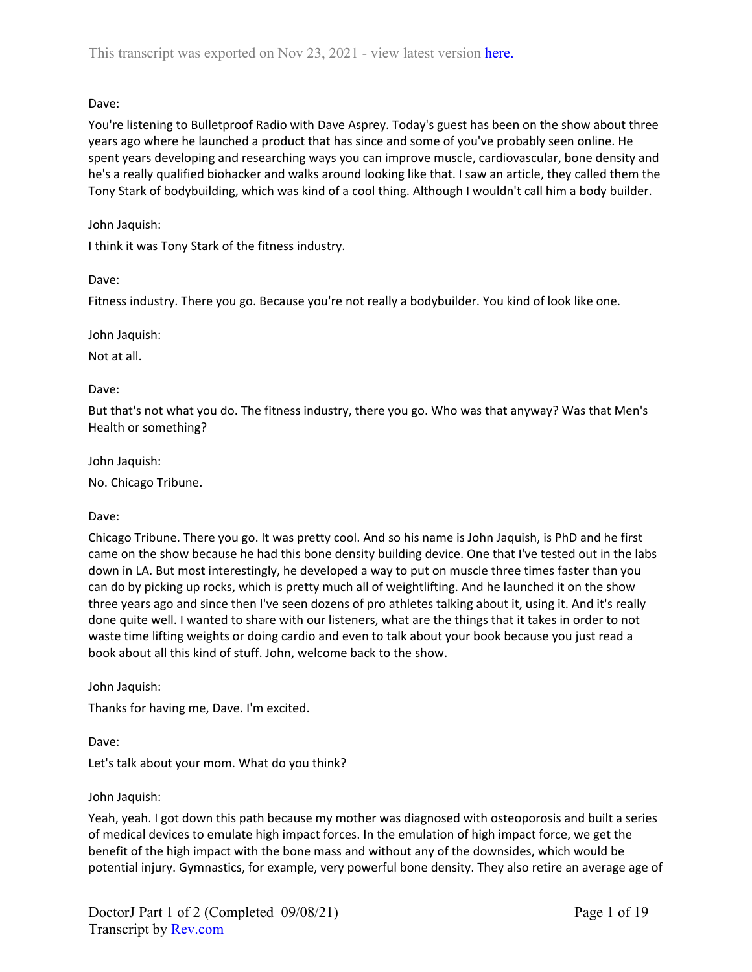You're listening to Bulletproof Radio with Dave Asprey. Today's guest has been on the show about three years ago where he launched a product that has since and some of you've probably seen online. He spent years developing and researching ways you can improve muscle, cardiovascular, bone density and he's a really qualified biohacker and walks around looking like that. I saw an article, they called them the Tony Stark of bodybuilding, which was kind of a cool thing. Although I wouldn't call him a body builder.

## John Jaquish:

I think it was Tony Stark of the fitness industry.

## Dave:

Fitness industry. There you go. Because you're not really a bodybuilder. You kind of look like one.

John Jaquish:

Not at all.

## Dave:

But that's not what you do. The fitness industry, there you go. Who was that anyway? Was that Men's Health or something?

John Jaquish:

No. Chicago Tribune.

### Dave:

Chicago Tribune. There you go. It was pretty cool. And so his name is John Jaquish, is PhD and he first came on the show because he had this bone density building device. One that I've tested out in the labs down in LA. But most interestingly, he developed a way to put on muscle three times faster than you can do by picking up rocks, which is pretty much all of weightlifting. And he launched it on the show three years ago and since then I've seen dozens of pro athletes talking about it, using it. And it's really done quite well. I wanted to share with our listeners, what are the things that it takes in order to not waste time lifting weights or doing cardio and even to talk about your book because you just read a book about all this kind of stuff. John, welcome back to the show.

John Jaquish:

Thanks for having me, Dave. I'm excited.

Dave:

Let's talk about your mom. What do you think?

### John Jaquish:

Yeah, yeah. I got down this path because my mother was diagnosed with osteoporosis and built a series of medical devices to emulate high impact forces. In the emulation of high impact force, we get the benefit of the high impact with the bone mass and without any of the downsides, which would be potential injury. Gymnastics, for example, very powerful bone density. They also retire an average age of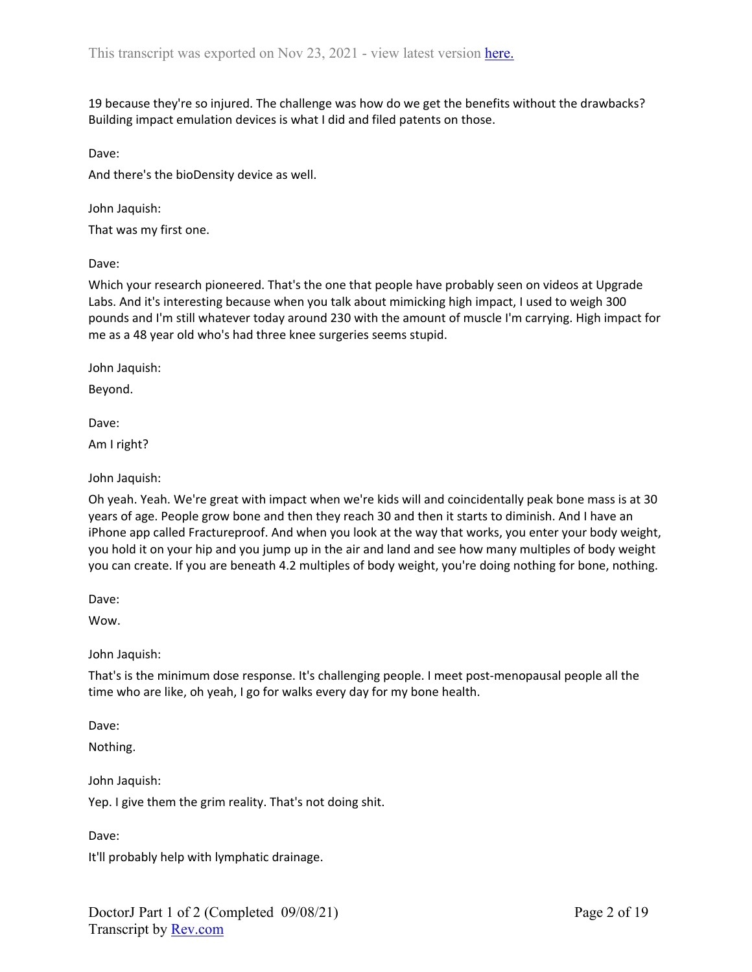19 because they're so injured. The challenge was how do we get the benefits without the drawbacks? Building impact emulation devices is what I did and filed patents on those.

Dave:

And there's the bioDensity device as well.

John Jaquish:

That was my first one.

Dave:

Which your research pioneered. That's the one that people have probably seen on videos at Upgrade Labs. And it's interesting because when you talk about mimicking high impact, I used to weigh 300 pounds and I'm still whatever today around 230 with the amount of muscle I'm carrying. High impact for me as a 48 year old who's had three knee surgeries seems stupid.

John Jaquish:

Beyond.

Dave:

Am I right?

John Jaquish:

Oh yeah. Yeah. We're great with impact when we're kids will and coincidentally peak bone mass is at 30 years of age. People grow bone and then they reach 30 and then it starts to diminish. And I have an iPhone app called Fractureproof. And when you look at the way that works, you enter your body weight, you hold it on your hip and you jump up in the air and land and see how many multiples of body weight you can create. If you are beneath 4.2 multiples of body weight, you're doing nothing for bone, nothing.

Dave:

Wow.

John Jaquish:

That's is the minimum dose response. It's challenging people. I meet post-menopausal people all the time who are like, oh yeah, I go for walks every day for my bone health.

Dave:

Nothing.

John Jaquish:

Yep. I give them the grim reality. That's not doing shit.

Dave:

It'll probably help with lymphatic drainage.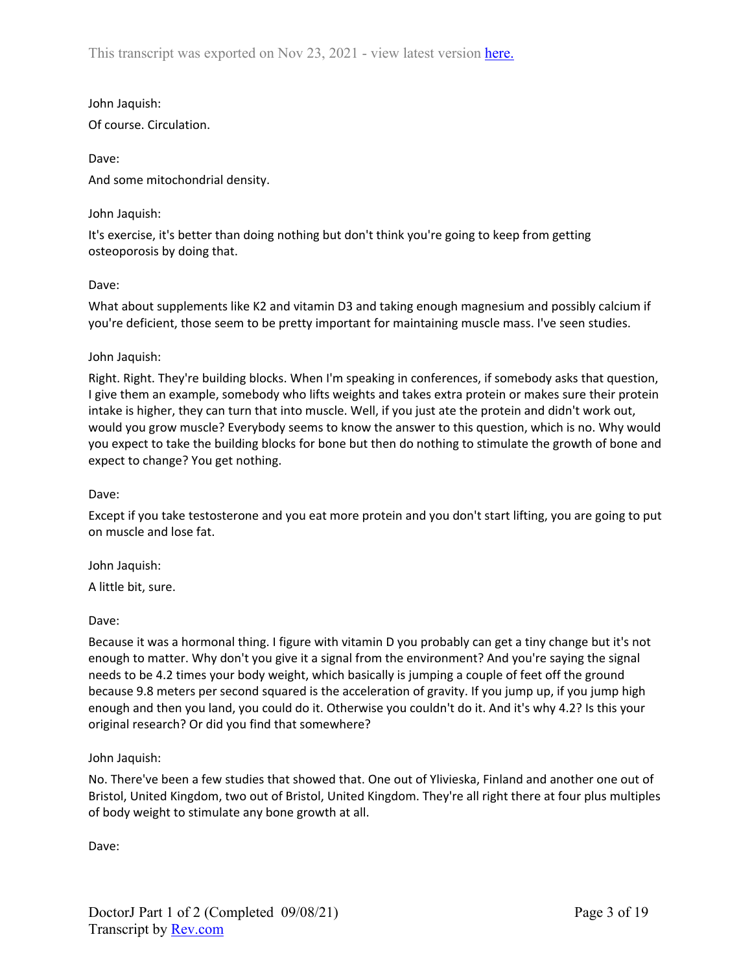John Jaquish: Of course. Circulation.

Dave: And some mitochondrial density.

# John Jaquish:

It's exercise, it's better than doing nothing but don't think you're going to keep from getting osteoporosis by doing that.

## Dave:

What about supplements like K2 and vitamin D3 and taking enough magnesium and possibly calcium if you're deficient, those seem to be pretty important for maintaining muscle mass. I've seen studies.

# John Jaquish:

Right. Right. They're building blocks. When I'm speaking in conferences, if somebody asks that question, I give them an example, somebody who lifts weights and takes extra protein or makes sure their protein intake is higher, they can turn that into muscle. Well, if you just ate the protein and didn't work out, would you grow muscle? Everybody seems to know the answer to this question, which is no. Why would you expect to take the building blocks for bone but then do nothing to stimulate the growth of bone and expect to change? You get nothing.

## Dave:

Except if you take testosterone and you eat more protein and you don't start lifting, you are going to put on muscle and lose fat.

## John Jaquish:

A little bit, sure.

## Dave:

Because it was a hormonal thing. I figure with vitamin D you probably can get a tiny change but it's not enough to matter. Why don't you give it a signal from the environment? And you're saying the signal needs to be 4.2 times your body weight, which basically is jumping a couple of feet off the ground because 9.8 meters per second squared is the acceleration of gravity. If you jump up, if you jump high enough and then you land, you could do it. Otherwise you couldn't do it. And it's why 4.2? Is this your original research? Or did you find that somewhere?

## John Jaquish:

No. There've been a few studies that showed that. One out of Ylivieska, Finland and another one out of Bristol, United Kingdom, two out of Bristol, United Kingdom. They're all right there at four plus multiples of body weight to stimulate any bone growth at all.

Dave: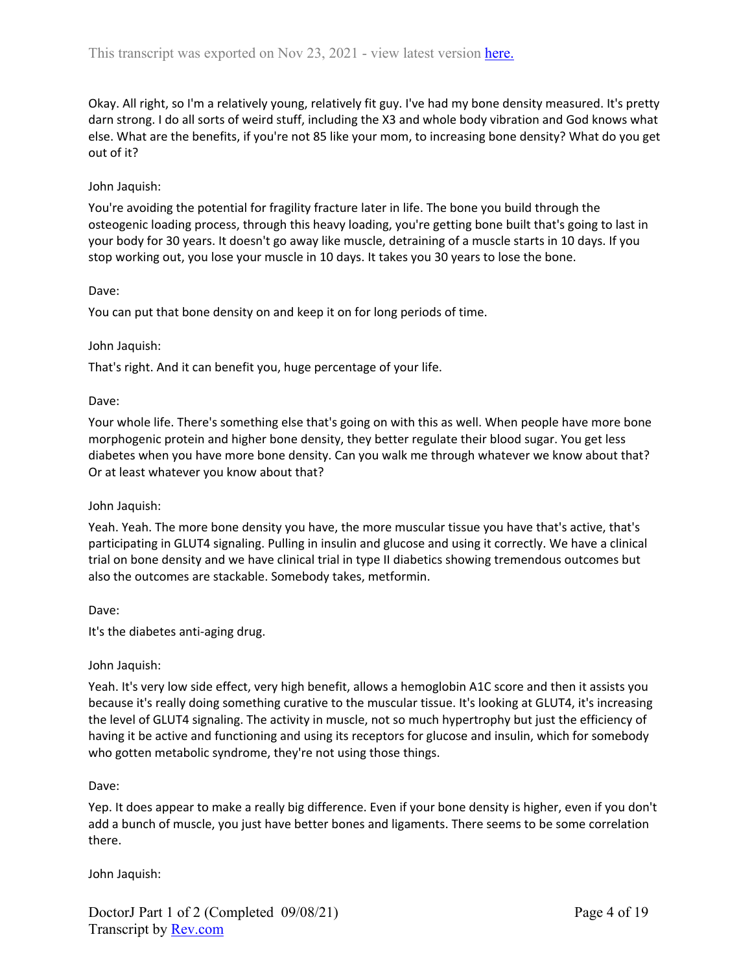Okay. All right, so I'm a relatively young, relatively fit guy. I've had my bone density measured. It's pretty darn strong. I do all sorts of weird stuff, including the X3 and whole body vibration and God knows what else. What are the benefits, if you're not 85 like your mom, to increasing bone density? What do you get out of it?

### John Jaquish:

You're avoiding the potential for fragility fracture later in life. The bone you build through the osteogenic loading process, through this heavy loading, you're getting bone built that's going to last in your body for 30 years. It doesn't go away like muscle, detraining of a muscle starts in 10 days. If you stop working out, you lose your muscle in 10 days. It takes you 30 years to lose the bone.

### Dave:

You can put that bone density on and keep it on for long periods of time.

### John Jaquish:

That's right. And it can benefit you, huge percentage of your life.

### Dave:

Your whole life. There's something else that's going on with this as well. When people have more bone morphogenic protein and higher bone density, they better regulate their blood sugar. You get less diabetes when you have more bone density. Can you walk me through whatever we know about that? Or at least whatever you know about that?

### John Jaquish:

Yeah. Yeah. The more bone density you have, the more muscular tissue you have that's active, that's participating in GLUT4 signaling. Pulling in insulin and glucose and using it correctly. We have a clinical trial on bone density and we have clinical trial in type II diabetics showing tremendous outcomes but also the outcomes are stackable. Somebody takes, metformin.

### Dave:

It's the diabetes anti-aging drug.

### John Jaquish:

Yeah. It's very low side effect, very high benefit, allows a hemoglobin A1C score and then it assists you because it's really doing something curative to the muscular tissue. It's looking at GLUT4, it's increasing the level of GLUT4 signaling. The activity in muscle, not so much hypertrophy but just the efficiency of having it be active and functioning and using its receptors for glucose and insulin, which for somebody who gotten metabolic syndrome, they're not using those things.

### Dave:

Yep. It does appear to make a really big difference. Even if your bone density is higher, even if you don't add a bunch of muscle, you just have better bones and ligaments. There seems to be some correlation there.

John Jaquish: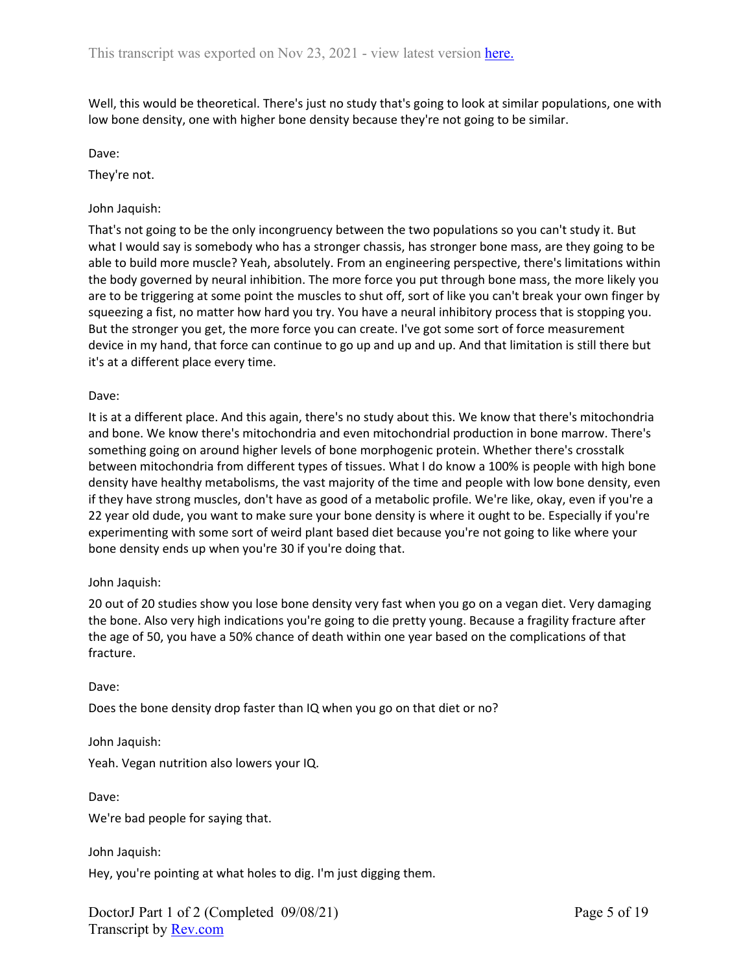Well, this would be theoretical. There's just no study that's going to look at similar populations, one with low bone density, one with higher bone density because they're not going to be similar.

Dave:

They're not.

## John Jaquish:

That's not going to be the only incongruency between the two populations so you can't study it. But what I would say is somebody who has a stronger chassis, has stronger bone mass, are they going to be able to build more muscle? Yeah, absolutely. From an engineering perspective, there's limitations within the body governed by neural inhibition. The more force you put through bone mass, the more likely you are to be triggering at some point the muscles to shut off, sort of like you can't break your own finger by squeezing a fist, no matter how hard you try. You have a neural inhibitory process that is stopping you. But the stronger you get, the more force you can create. I've got some sort of force measurement device in my hand, that force can continue to go up and up and up. And that limitation is still there but it's at a different place every time.

### Dave:

It is at a different place. And this again, there's no study about this. We know that there's mitochondria and bone. We know there's mitochondria and even mitochondrial production in bone marrow. There's something going on around higher levels of bone morphogenic protein. Whether there's crosstalk between mitochondria from different types of tissues. What I do know a 100% is people with high bone density have healthy metabolisms, the vast majority of the time and people with low bone density, even if they have strong muscles, don't have as good of a metabolic profile. We're like, okay, even if you're a 22 year old dude, you want to make sure your bone density is where it ought to be. Especially if you're experimenting with some sort of weird plant based diet because you're not going to like where your bone density ends up when you're 30 if you're doing that.

### John Jaquish:

20 out of 20 studies show you lose bone density very fast when you go on a vegan diet. Very damaging the bone. Also very high indications you're going to die pretty young. Because a fragility fracture after the age of 50, you have a 50% chance of death within one year based on the complications of that fracture.

Dave:

Does the bone density drop faster than IQ when you go on that diet or no?

John Jaquish:

Yeah. Vegan nutrition also lowers your IQ.

Dave:

We're bad people for saying that.

John Jaquish:

Hey, you're pointing at what holes to dig. I'm just digging them.

DoctorJ Part 1 of 2 (Completed 09/08/21) Transcript by [Rev.com](https://www.rev.com/)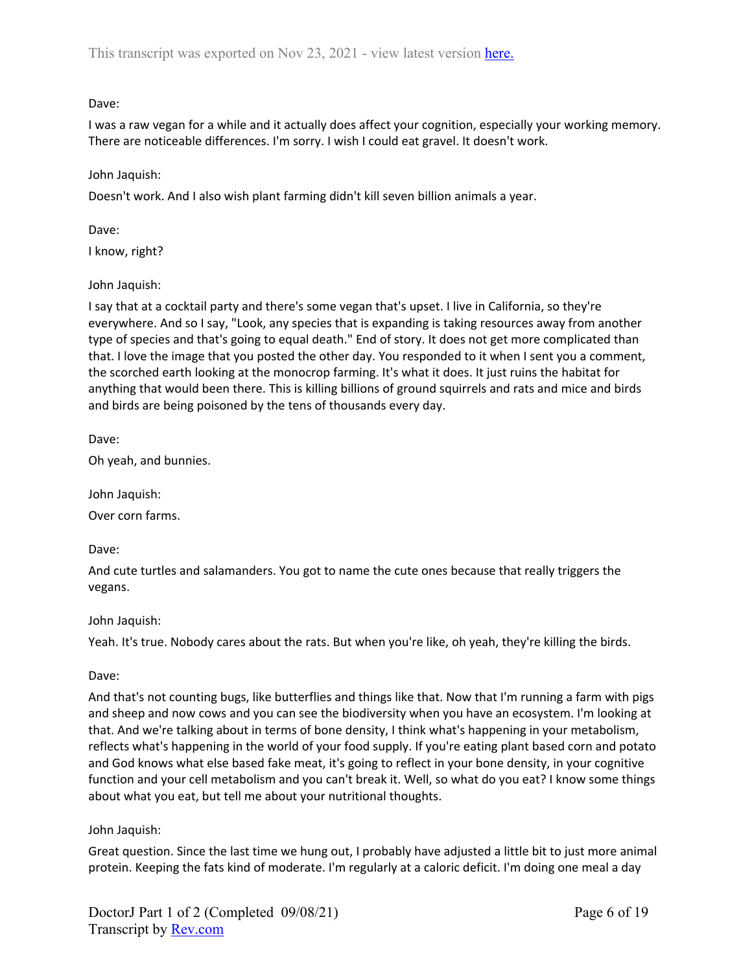I was a raw vegan for a while and it actually does affect your cognition, especially your working memory. There are noticeable differences. I'm sorry. I wish I could eat gravel. It doesn't work.

## John Jaquish:

Doesn't work. And I also wish plant farming didn't kill seven billion animals a year.

Dave:

I know, right?

# John Jaquish:

I say that at a cocktail party and there's some vegan that's upset. I live in California, so they're everywhere. And so I say, "Look, any species that is expanding is taking resources away from another type of species and that's going to equal death." End of story. It does not get more complicated than that. I love the image that you posted the other day. You responded to it when I sent you a comment, the scorched earth looking at the monocrop farming. It's what it does. It just ruins the habitat for anything that would been there. This is killing billions of ground squirrels and rats and mice and birds and birds are being poisoned by the tens of thousands every day.

Dave:

Oh yeah, and bunnies.

John Jaquish:

Over corn farms.

Dave:

And cute turtles and salamanders. You got to name the cute ones because that really triggers the vegans.

## John Jaquish:

Yeah. It's true. Nobody cares about the rats. But when you're like, oh yeah, they're killing the birds.

## Dave:

And that's not counting bugs, like butterflies and things like that. Now that I'm running a farm with pigs and sheep and now cows and you can see the biodiversity when you have an ecosystem. I'm looking at that. And we're talking about in terms of bone density, I think what's happening in your metabolism, reflects what's happening in the world of your food supply. If you're eating plant based corn and potato and God knows what else based fake meat, it's going to reflect in your bone density, in your cognitive function and your cell metabolism and you can't break it. Well, so what do you eat? I know some things about what you eat, but tell me about your nutritional thoughts.

## John Jaquish:

Great question. Since the last time we hung out, I probably have adjusted a little bit to just more animal protein. Keeping the fats kind of moderate. I'm regularly at a caloric deficit. I'm doing one meal a day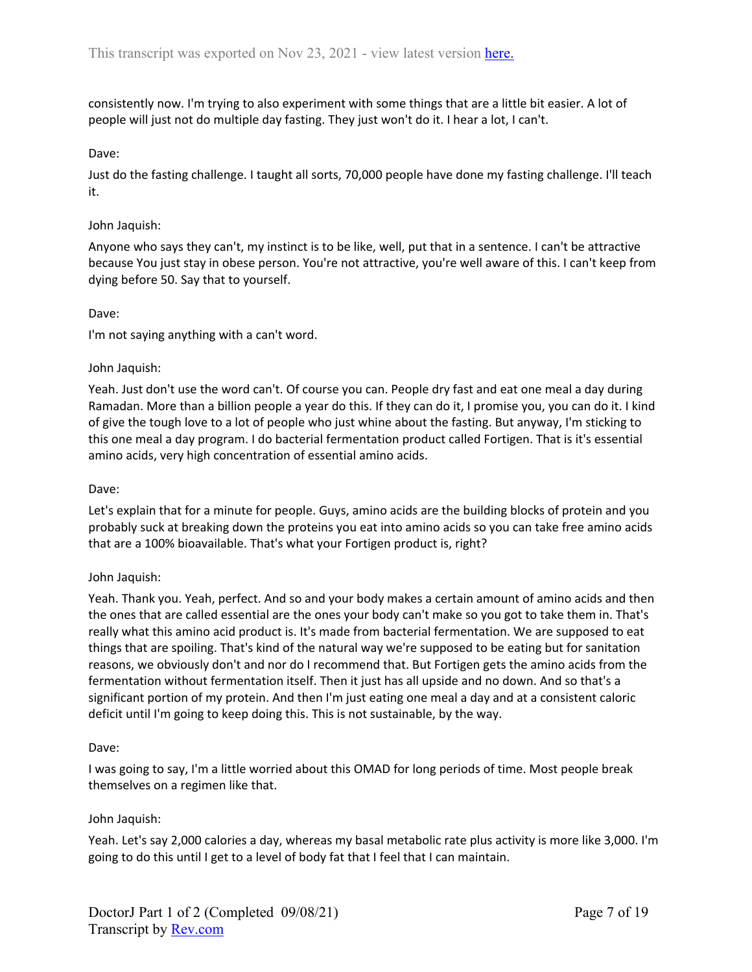consistently now. I'm trying to also experiment with some things that are a little bit easier. A lot of people will just not do multiple day fasting. They just won't do it. I hear a lot, I can't.

## Dave:

Just do the fasting challenge. I taught all sorts, 70,000 people have done my fasting challenge. I'll teach it.

### John Jaquish:

Anyone who says they can't, my instinct is to be like, well, put that in a sentence. I can't be attractive because You just stay in obese person. You're not attractive, you're well aware of this. I can't keep from dying before 50. Say that to yourself.

## Dave:

I'm not saying anything with a can't word.

## John Jaquish:

Yeah. Just don't use the word can't. Of course you can. People dry fast and eat one meal a day during Ramadan. More than a billion people a year do this. If they can do it, I promise you, you can do it. I kind of give the tough love to a lot of people who just whine about the fasting. But anyway, I'm sticking to this one meal a day program. I do bacterial fermentation product called Fortigen. That is it's essential amino acids, very high concentration of essential amino acids.

### Dave:

Let's explain that for a minute for people. Guys, amino acids are the building blocks of protein and you probably suck at breaking down the proteins you eat into amino acids so you can take free amino acids that are a 100% bioavailable. That's what your Fortigen product is, right?

### John Jaquish:

Yeah. Thank you. Yeah, perfect. And so and your body makes a certain amount of amino acids and then the ones that are called essential are the ones your body can't make so you got to take them in. That's really what this amino acid product is. It's made from bacterial fermentation. We are supposed to eat things that are spoiling. That's kind of the natural way we're supposed to be eating but for sanitation reasons, we obviously don't and nor do I recommend that. But Fortigen gets the amino acids from the fermentation without fermentation itself. Then it just has all upside and no down. And so that's a significant portion of my protein. And then I'm just eating one meal a day and at a consistent caloric deficit until I'm going to keep doing this. This is not sustainable, by the way.

### Dave:

I was going to say, I'm a little worried about this OMAD for long periods of time. Most people break themselves on a regimen like that.

### John Jaquish:

Yeah. Let's say 2,000 calories a day, whereas my basal metabolic rate plus activity is more like 3,000. I'm going to do this until I get to a level of body fat that I feel that I can maintain.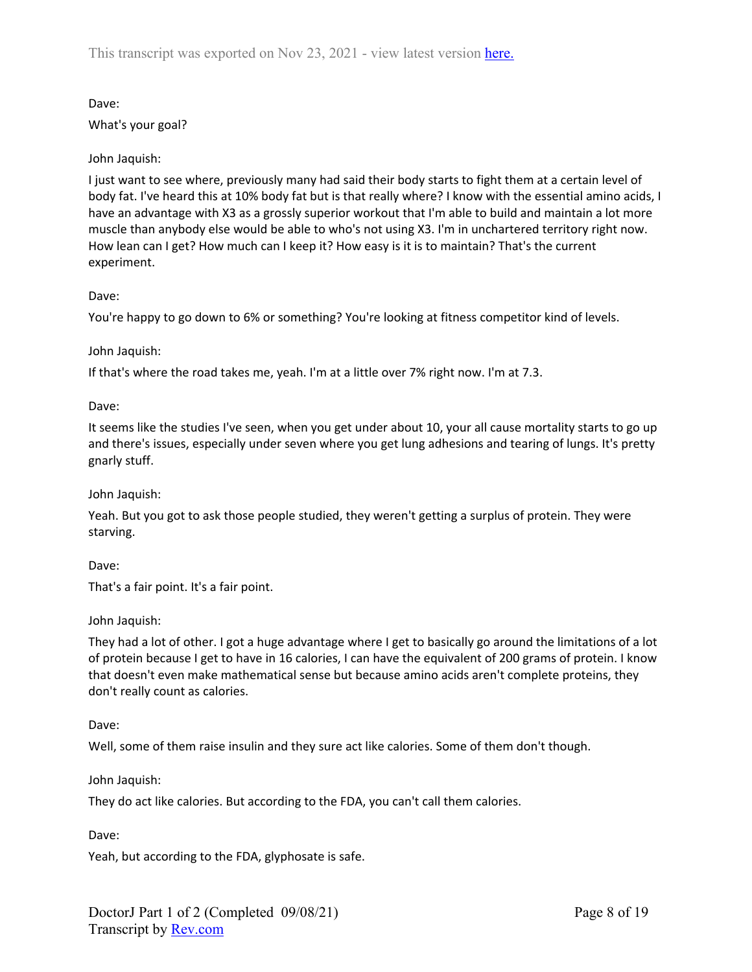What's your goal?

# John Jaquish:

I just want to see where, previously many had said their body starts to fight them at a certain level of body fat. I've heard this at 10% body fat but is that really where? I know with the essential amino acids, I have an advantage with X3 as a grossly superior workout that I'm able to build and maintain a lot more muscle than anybody else would be able to who's not using X3. I'm in unchartered territory right now. How lean can I get? How much can I keep it? How easy is it is to maintain? That's the current experiment.

## Dave:

You're happy to go down to 6% or something? You're looking at fitness competitor kind of levels.

## John Jaquish:

If that's where the road takes me, yeah. I'm at a little over 7% right now. I'm at 7.3.

Dave:

It seems like the studies I've seen, when you get under about 10, your all cause mortality starts to go up and there's issues, especially under seven where you get lung adhesions and tearing of lungs. It's pretty gnarly stuff.

# John Jaquish:

Yeah. But you got to ask those people studied, they weren't getting a surplus of protein. They were starving.

Dave:

That's a fair point. It's a fair point.

# John Jaquish:

They had a lot of other. I got a huge advantage where I get to basically go around the limitations of a lot of protein because I get to have in 16 calories, I can have the equivalent of 200 grams of protein. I know that doesn't even make mathematical sense but because amino acids aren't complete proteins, they don't really count as calories.

Dave:

Well, some of them raise insulin and they sure act like calories. Some of them don't though.

# John Jaquish:

They do act like calories. But according to the FDA, you can't call them calories.

Dave:

Yeah, but according to the FDA, glyphosate is safe.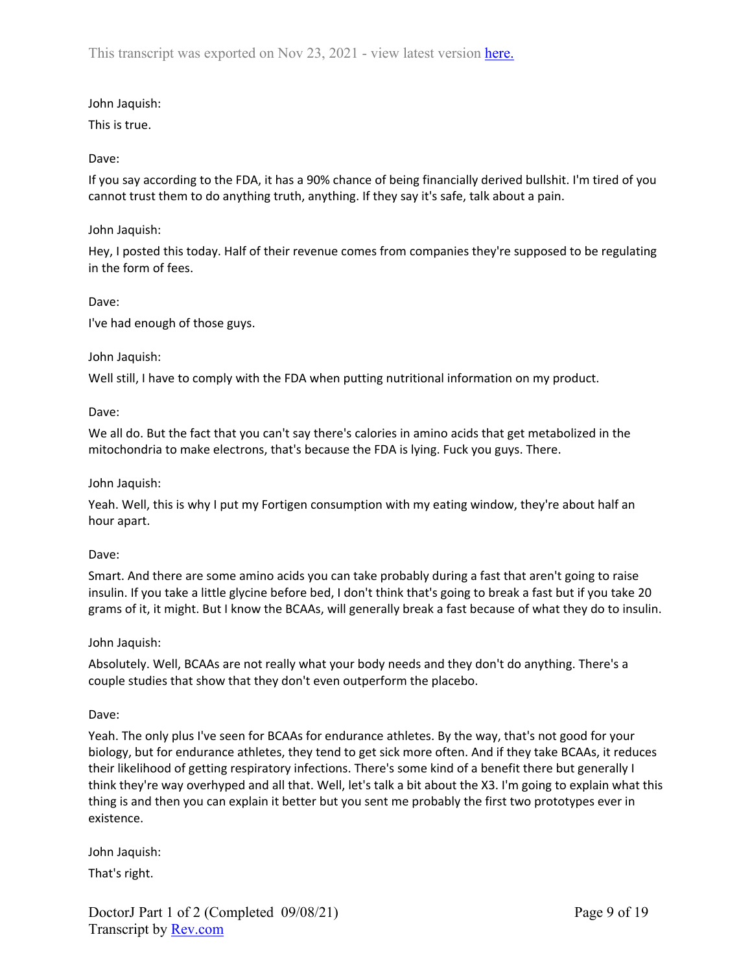# John Jaquish:

This is true.

# Dave:

If you say according to the FDA, it has a 90% chance of being financially derived bullshit. I'm tired of you cannot trust them to do anything truth, anything. If they say it's safe, talk about a pain.

## John Jaquish:

Hey, I posted this today. Half of their revenue comes from companies they're supposed to be regulating in the form of fees.

## Dave:

I've had enough of those guys.

## John Jaquish:

Well still, I have to comply with the FDA when putting nutritional information on my product.

## Dave:

We all do. But the fact that you can't say there's calories in amino acids that get metabolized in the mitochondria to make electrons, that's because the FDA is lying. Fuck you guys. There.

## John Jaquish:

Yeah. Well, this is why I put my Fortigen consumption with my eating window, they're about half an hour apart.

### Dave:

Smart. And there are some amino acids you can take probably during a fast that aren't going to raise insulin. If you take a little glycine before bed, I don't think that's going to break a fast but if you take 20 grams of it, it might. But I know the BCAAs, will generally break a fast because of what they do to insulin.

### John Jaquish:

Absolutely. Well, BCAAs are not really what your body needs and they don't do anything. There's a couple studies that show that they don't even outperform the placebo.

### Dave:

Yeah. The only plus I've seen for BCAAs for endurance athletes. By the way, that's not good for your biology, but for endurance athletes, they tend to get sick more often. And if they take BCAAs, it reduces their likelihood of getting respiratory infections. There's some kind of a benefit there but generally I think they're way overhyped and all that. Well, let's talk a bit about the X3. I'm going to explain what this thing is and then you can explain it better but you sent me probably the first two prototypes ever in existence.

John Jaquish: That's right.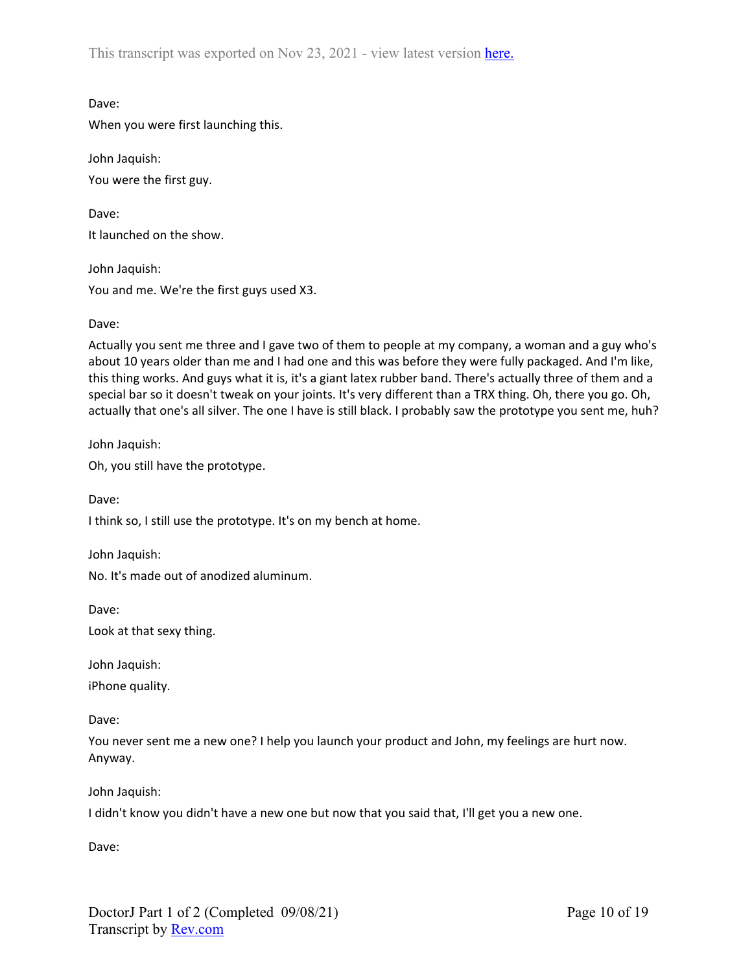This transcript was exported on Nov 23, 2021 - view latest version [here.](https://www.rev.com/transcript-editor/Edit?token=FyGuxgYQm2_bg8zF0woLebnsiaBXrG8NEX95PK40KnIXWOPQazRKLoOVIFl-GxfxWSx0tDLe2MsJx_dVyeqzEaGhtjU&loadFrom=DocumentHeaderDeepLink)

Dave:

When you were first launching this.

John Jaquish: You were the first guy.

Dave: It launched on the show.

John Jaquish: You and me. We're the first guys used X3.

## Dave:

Actually you sent me three and I gave two of them to people at my company, a woman and a guy who's about 10 years older than me and I had one and this was before they were fully packaged. And I'm like, this thing works. And guys what it is, it's a giant latex rubber band. There's actually three of them and a special bar so it doesn't tweak on your joints. It's very different than a TRX thing. Oh, there you go. Oh, actually that one's all silver. The one I have is still black. I probably saw the prototype you sent me, huh?

John Jaquish:

Oh, you still have the prototype.

Dave:

I think so, I still use the prototype. It's on my bench at home.

John Jaquish:

No. It's made out of anodized aluminum.

Dave: Look at that sexy thing.

John Jaquish:

iPhone quality.

Dave:

You never sent me a new one? I help you launch your product and John, my feelings are hurt now. Anyway.

John Jaquish:

I didn't know you didn't have a new one but now that you said that, I'll get you a new one.

Dave: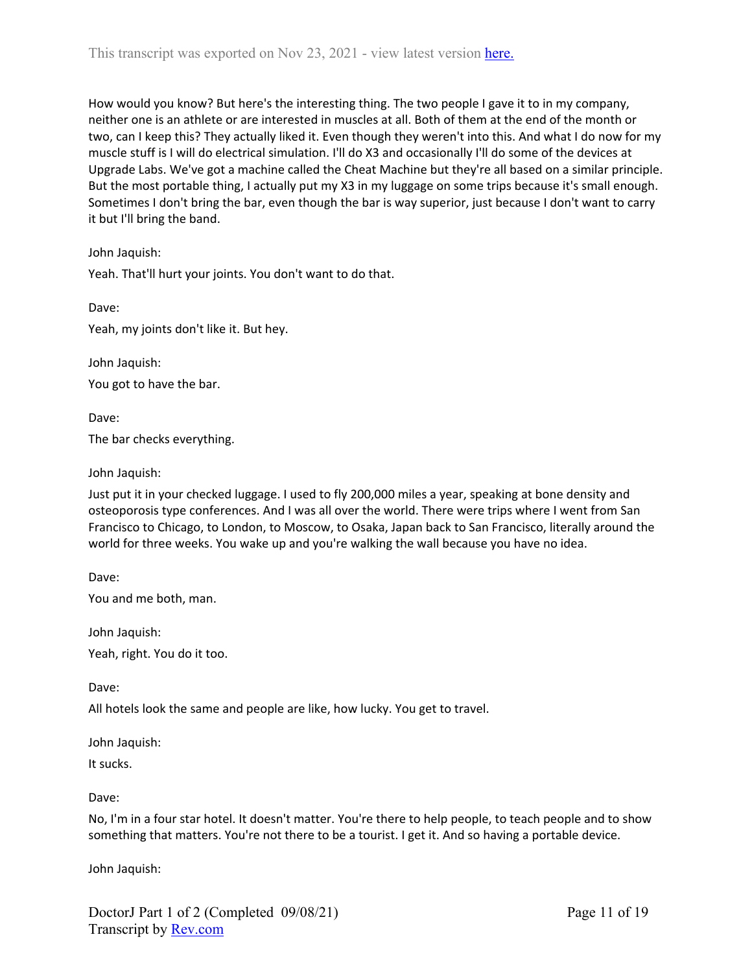How would you know? But here's the interesting thing. The two people I gave it to in my company, neither one is an athlete or are interested in muscles at all. Both of them at the end of the month or two, can I keep this? They actually liked it. Even though they weren't into this. And what I do now for my muscle stuff is I will do electrical simulation. I'll do X3 and occasionally I'll do some of the devices at Upgrade Labs. We've got a machine called the Cheat Machine but they're all based on a similar principle. But the most portable thing, I actually put my X3 in my luggage on some trips because it's small enough. Sometimes I don't bring the bar, even though the bar is way superior, just because I don't want to carry it but I'll bring the band.

John Jaquish:

Yeah. That'll hurt your joints. You don't want to do that.

Dave: Yeah, my joints don't like it. But hey.

John Jaquish:

You got to have the bar.

Dave:

The bar checks everything.

John Jaquish:

Just put it in your checked luggage. I used to fly 200,000 miles a year, speaking at bone density and osteoporosis type conferences. And I was all over the world. There were trips where I went from San Francisco to Chicago, to London, to Moscow, to Osaka, Japan back to San Francisco, literally around the world for three weeks. You wake up and you're walking the wall because you have no idea.

Dave:

You and me both, man.

John Jaquish:

Yeah, right. You do it too.

Dave:

All hotels look the same and people are like, how lucky. You get to travel.

John Jaquish:

It sucks.

Dave:

No, I'm in a four star hotel. It doesn't matter. You're there to help people, to teach people and to show something that matters. You're not there to be a tourist. I get it. And so having a portable device.

John Jaquish: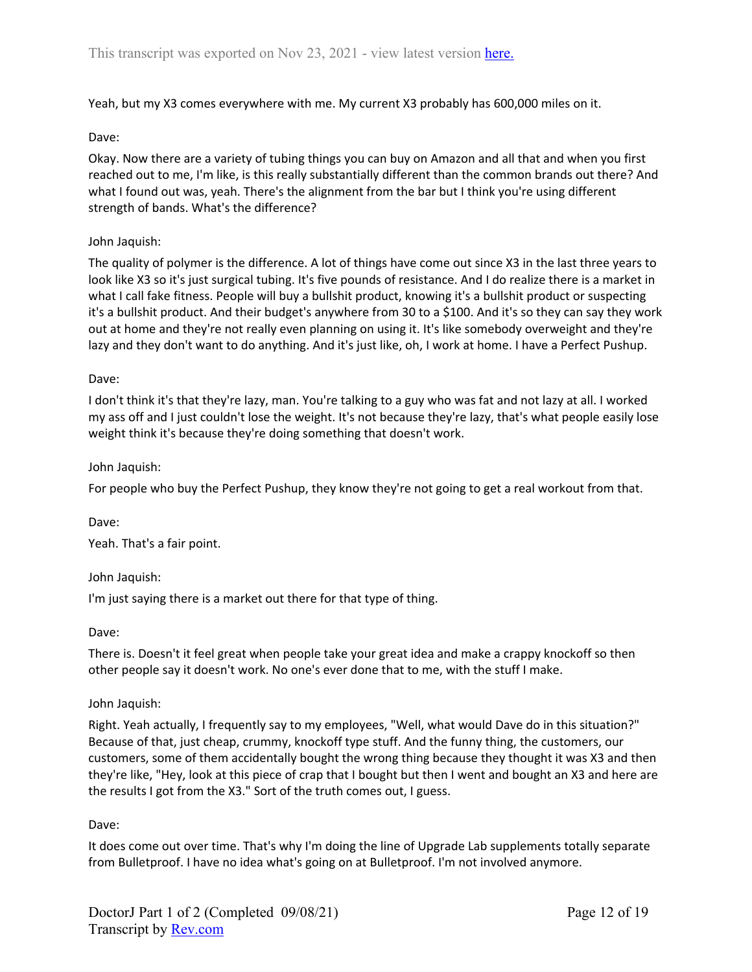Yeah, but my X3 comes everywhere with me. My current X3 probably has 600,000 miles on it.

#### Dave:

Okay. Now there are a variety of tubing things you can buy on Amazon and all that and when you first reached out to me, I'm like, is this really substantially different than the common brands out there? And what I found out was, yeah. There's the alignment from the bar but I think you're using different strength of bands. What's the difference?

#### John Jaquish:

The quality of polymer is the difference. A lot of things have come out since X3 in the last three years to look like X3 so it's just surgical tubing. It's five pounds of resistance. And I do realize there is a market in what I call fake fitness. People will buy a bullshit product, knowing it's a bullshit product or suspecting it's a bullshit product. And their budget's anywhere from 30 to a \$100. And it's so they can say they work out at home and they're not really even planning on using it. It's like somebody overweight and they're lazy and they don't want to do anything. And it's just like, oh, I work at home. I have a Perfect Pushup.

#### Dave:

I don't think it's that they're lazy, man. You're talking to a guy who was fat and not lazy at all. I worked my ass off and I just couldn't lose the weight. It's not because they're lazy, that's what people easily lose weight think it's because they're doing something that doesn't work.

#### John Jaquish:

For people who buy the Perfect Pushup, they know they're not going to get a real workout from that.

#### Dave:

Yeah. That's a fair point.

### John Jaquish:

I'm just saying there is a market out there for that type of thing.

#### Dave:

There is. Doesn't it feel great when people take your great idea and make a crappy knockoff so then other people say it doesn't work. No one's ever done that to me, with the stuff I make.

#### John Jaquish:

Right. Yeah actually, I frequently say to my employees, "Well, what would Dave do in this situation?" Because of that, just cheap, crummy, knockoff type stuff. And the funny thing, the customers, our customers, some of them accidentally bought the wrong thing because they thought it was X3 and then they're like, "Hey, look at this piece of crap that I bought but then I went and bought an X3 and here are the results I got from the X3." Sort of the truth comes out, I guess.

#### Dave:

It does come out over time. That's why I'm doing the line of Upgrade Lab supplements totally separate from Bulletproof. I have no idea what's going on at Bulletproof. I'm not involved anymore.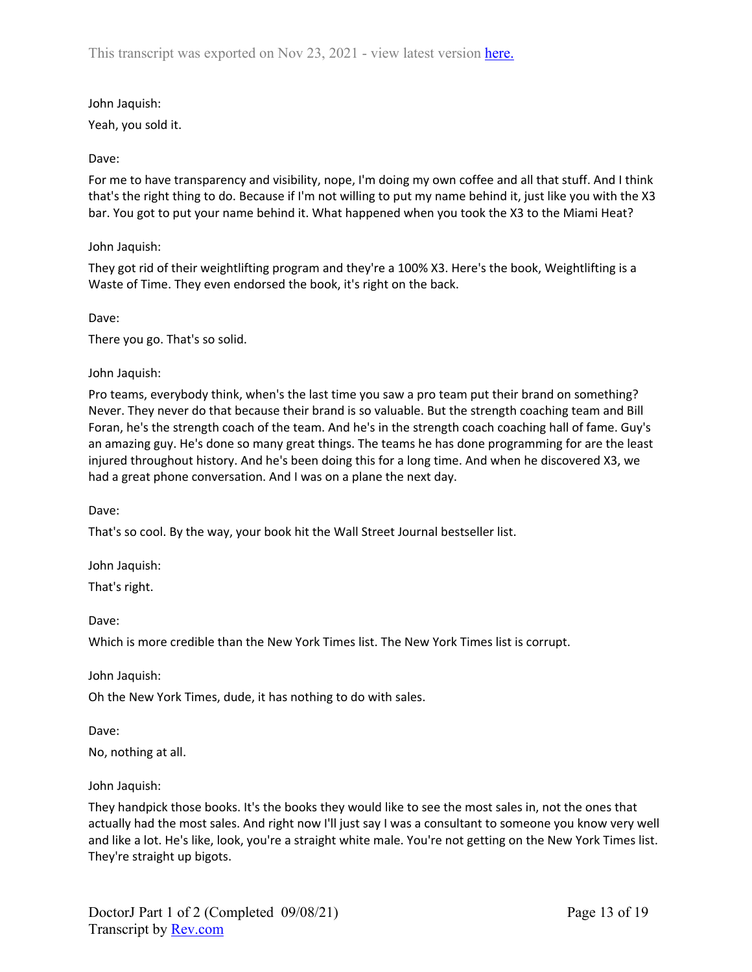John Jaquish:

Yeah, you sold it.

# Dave:

For me to have transparency and visibility, nope, I'm doing my own coffee and all that stuff. And I think that's the right thing to do. Because if I'm not willing to put my name behind it, just like you with the X3 bar. You got to put your name behind it. What happened when you took the X3 to the Miami Heat?

# John Jaquish:

They got rid of their weightlifting program and they're a 100% X3. Here's the book, Weightlifting is a Waste of Time. They even endorsed the book, it's right on the back.

Dave:

There you go. That's so solid.

John Jaquish:

Pro teams, everybody think, when's the last time you saw a pro team put their brand on something? Never. They never do that because their brand is so valuable. But the strength coaching team and Bill Foran, he's the strength coach of the team. And he's in the strength coach coaching hall of fame. Guy's an amazing guy. He's done so many great things. The teams he has done programming for are the least injured throughout history. And he's been doing this for a long time. And when he discovered X3, we had a great phone conversation. And I was on a plane the next day.

Dave:

That's so cool. By the way, your book hit the Wall Street Journal bestseller list.

John Jaquish:

That's right.

Dave:

Which is more credible than the New York Times list. The New York Times list is corrupt.

John Jaquish:

Oh the New York Times, dude, it has nothing to do with sales.

Dave:

No, nothing at all.

John Jaquish:

They handpick those books. It's the books they would like to see the most sales in, not the ones that actually had the most sales. And right now I'll just say I was a consultant to someone you know very well and like a lot. He's like, look, you're a straight white male. You're not getting on the New York Times list. They're straight up bigots.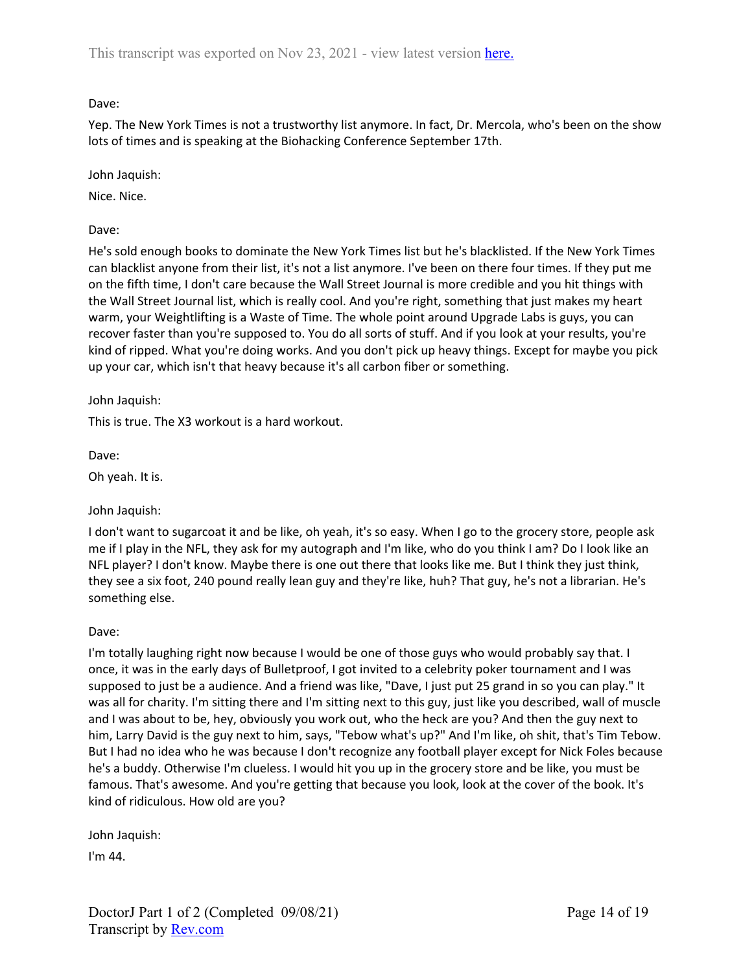Yep. The New York Times is not a trustworthy list anymore. In fact, Dr. Mercola, who's been on the show lots of times and is speaking at the Biohacking Conference September 17th.

John Jaquish:

Nice. Nice.

Dave:

He's sold enough books to dominate the New York Times list but he's blacklisted. If the New York Times can blacklist anyone from their list, it's not a list anymore. I've been on there four times. If they put me on the fifth time, I don't care because the Wall Street Journal is more credible and you hit things with the Wall Street Journal list, which is really cool. And you're right, something that just makes my heart warm, your Weightlifting is a Waste of Time. The whole point around Upgrade Labs is guys, you can recover faster than you're supposed to. You do all sorts of stuff. And if you look at your results, you're kind of ripped. What you're doing works. And you don't pick up heavy things. Except for maybe you pick up your car, which isn't that heavy because it's all carbon fiber or something.

John Jaquish:

This is true. The X3 workout is a hard workout.

Dave:

Oh yeah. It is.

John Jaquish:

I don't want to sugarcoat it and be like, oh yeah, it's so easy. When I go to the grocery store, people ask me if I play in the NFL, they ask for my autograph and I'm like, who do you think I am? Do I look like an NFL player? I don't know. Maybe there is one out there that looks like me. But I think they just think, they see a six foot, 240 pound really lean guy and they're like, huh? That guy, he's not a librarian. He's something else.

## Dave:

I'm totally laughing right now because I would be one of those guys who would probably say that. I once, it was in the early days of Bulletproof, I got invited to a celebrity poker tournament and I was supposed to just be a audience. And a friend was like, "Dave, I just put 25 grand in so you can play." It was all for charity. I'm sitting there and I'm sitting next to this guy, just like you described, wall of muscle and I was about to be, hey, obviously you work out, who the heck are you? And then the guy next to him, Larry David is the guy next to him, says, "Tebow what's up?" And I'm like, oh shit, that's Tim Tebow. But I had no idea who he was because I don't recognize any football player except for Nick Foles because he's a buddy. Otherwise I'm clueless. I would hit you up in the grocery store and be like, you must be famous. That's awesome. And you're getting that because you look, look at the cover of the book. It's kind of ridiculous. How old are you?

John Jaquish:

I'm 44.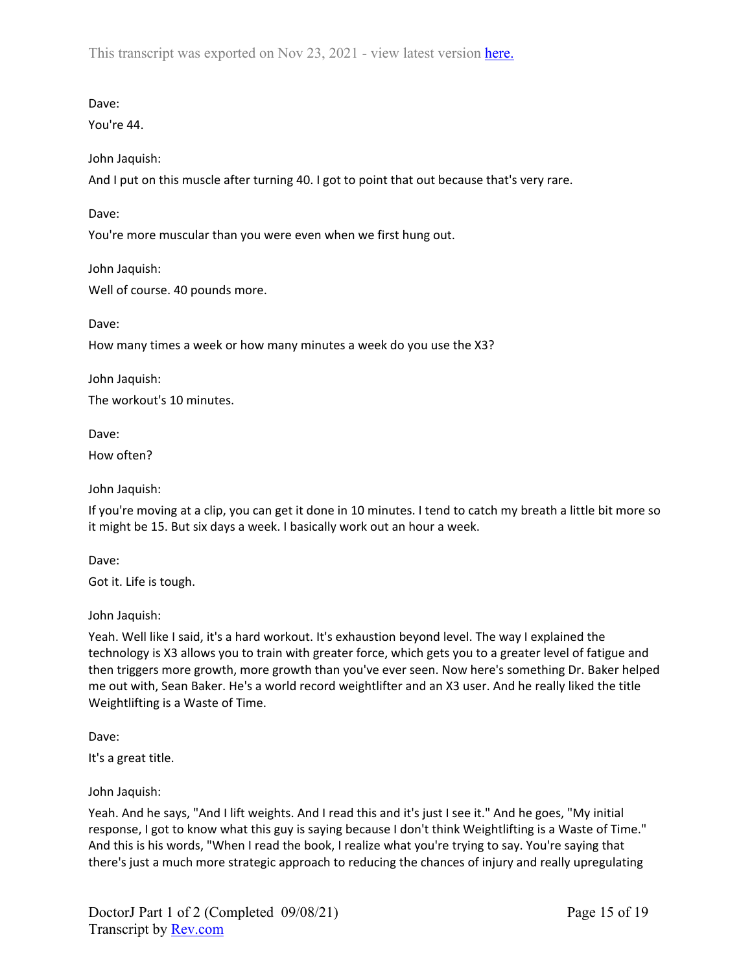This transcript was exported on Nov 23, 2021 - view latest version [here.](https://www.rev.com/transcript-editor/Edit?token=FyGuxgYQm2_bg8zF0woLebnsiaBXrG8NEX95PK40KnIXWOPQazRKLoOVIFl-GxfxWSx0tDLe2MsJx_dVyeqzEaGhtjU&loadFrom=DocumentHeaderDeepLink)

Dave:

You're 44.

John Jaquish:

And I put on this muscle after turning 40. I got to point that out because that's very rare.

Dave:

You're more muscular than you were even when we first hung out.

John Jaquish: Well of course. 40 pounds more.

Dave:

How many times a week or how many minutes a week do you use the X3?

John Jaquish:

The workout's 10 minutes.

Dave:

How often?

John Jaquish:

If you're moving at a clip, you can get it done in 10 minutes. I tend to catch my breath a little bit more so it might be 15. But six days a week. I basically work out an hour a week.

Dave:

Got it. Life is tough.

John Jaquish:

Yeah. Well like I said, it's a hard workout. It's exhaustion beyond level. The way I explained the technology is X3 allows you to train with greater force, which gets you to a greater level of fatigue and then triggers more growth, more growth than you've ever seen. Now here's something Dr. Baker helped me out with, Sean Baker. He's a world record weightlifter and an X3 user. And he really liked the title Weightlifting is a Waste of Time.

Dave:

It's a great title.

John Jaquish:

Yeah. And he says, "And I lift weights. And I read this and it's just I see it." And he goes, "My initial response, I got to know what this guy is saying because I don't think Weightlifting is a Waste of Time." And this is his words, "When I read the book, I realize what you're trying to say. You're saying that there's just a much more strategic approach to reducing the chances of injury and really upregulating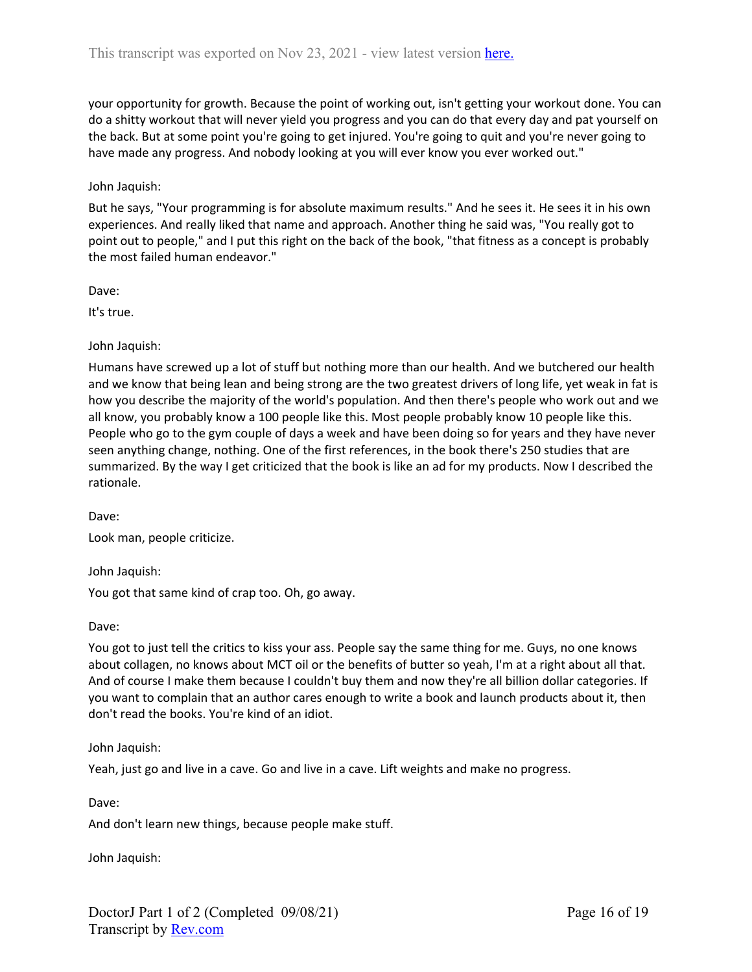your opportunity for growth. Because the point of working out, isn't getting your workout done. You can do a shitty workout that will never yield you progress and you can do that every day and pat yourself on the back. But at some point you're going to get injured. You're going to quit and you're never going to have made any progress. And nobody looking at you will ever know you ever worked out."

### John Jaquish:

But he says, "Your programming is for absolute maximum results." And he sees it. He sees it in his own experiences. And really liked that name and approach. Another thing he said was, "You really got to point out to people," and I put this right on the back of the book, "that fitness as a concept is probably the most failed human endeavor."

Dave:

It's true.

John Jaquish:

Humans have screwed up a lot of stuff but nothing more than our health. And we butchered our health and we know that being lean and being strong are the two greatest drivers of long life, yet weak in fat is how you describe the majority of the world's population. And then there's people who work out and we all know, you probably know a 100 people like this. Most people probably know 10 people like this. People who go to the gym couple of days a week and have been doing so for years and they have never seen anything change, nothing. One of the first references, in the book there's 250 studies that are summarized. By the way I get criticized that the book is like an ad for my products. Now I described the rationale.

Dave:

Look man, people criticize.

John Jaquish:

You got that same kind of crap too. Oh, go away.

Dave:

You got to just tell the critics to kiss your ass. People say the same thing for me. Guys, no one knows about collagen, no knows about MCT oil or the benefits of butter so yeah, I'm at a right about all that. And of course I make them because I couldn't buy them and now they're all billion dollar categories. If you want to complain that an author cares enough to write a book and launch products about it, then don't read the books. You're kind of an idiot.

John Jaquish:

Yeah, just go and live in a cave. Go and live in a cave. Lift weights and make no progress.

Dave:

And don't learn new things, because people make stuff.

John Jaquish: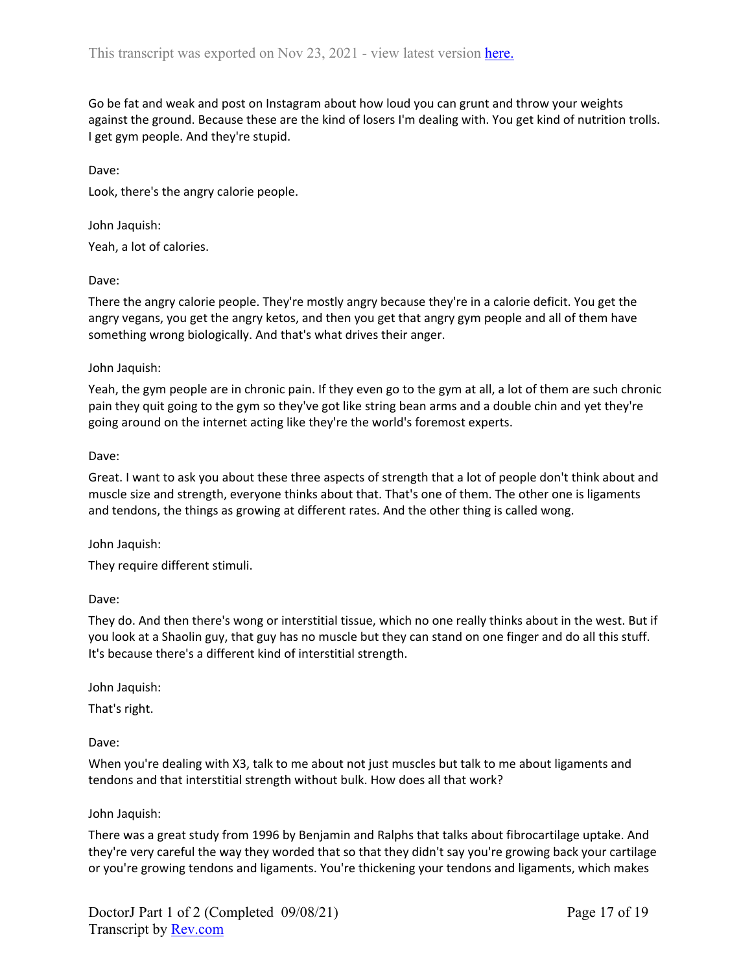Go be fat and weak and post on Instagram about how loud you can grunt and throw your weights against the ground. Because these are the kind of losers I'm dealing with. You get kind of nutrition trolls. I get gym people. And they're stupid.

Dave:

Look, there's the angry calorie people.

John Jaquish:

Yeah, a lot of calories.

Dave:

There the angry calorie people. They're mostly angry because they're in a calorie deficit. You get the angry vegans, you get the angry ketos, and then you get that angry gym people and all of them have something wrong biologically. And that's what drives their anger.

## John Jaquish:

Yeah, the gym people are in chronic pain. If they even go to the gym at all, a lot of them are such chronic pain they quit going to the gym so they've got like string bean arms and a double chin and yet they're going around on the internet acting like they're the world's foremost experts.

## Dave:

Great. I want to ask you about these three aspects of strength that a lot of people don't think about and muscle size and strength, everyone thinks about that. That's one of them. The other one is ligaments and tendons, the things as growing at different rates. And the other thing is called wong.

John Jaquish:

They require different stimuli.

Dave:

They do. And then there's wong or interstitial tissue, which no one really thinks about in the west. But if you look at a Shaolin guy, that guy has no muscle but they can stand on one finger and do all this stuff. It's because there's a different kind of interstitial strength.

John Jaquish:

That's right.

Dave:

When you're dealing with X3, talk to me about not just muscles but talk to me about ligaments and tendons and that interstitial strength without bulk. How does all that work?

## John Jaquish:

There was a great study from 1996 by Benjamin and Ralphs that talks about fibrocartilage uptake. And they're very careful the way they worded that so that they didn't say you're growing back your cartilage or you're growing tendons and ligaments. You're thickening your tendons and ligaments, which makes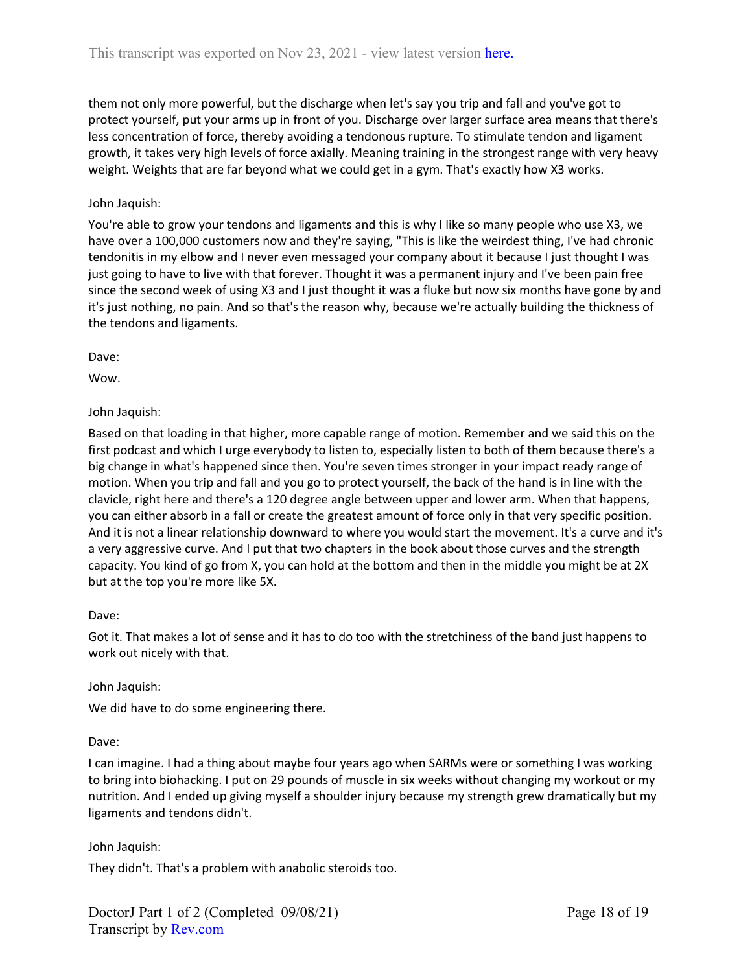them not only more powerful, but the discharge when let's say you trip and fall and you've got to protect yourself, put your arms up in front of you. Discharge over larger surface area means that there's less concentration of force, thereby avoiding a tendonous rupture. To stimulate tendon and ligament growth, it takes very high levels of force axially. Meaning training in the strongest range with very heavy weight. Weights that are far beyond what we could get in a gym. That's exactly how X3 works.

## John Jaquish:

You're able to grow your tendons and ligaments and this is why I like so many people who use X3, we have over a 100,000 customers now and they're saying, "This is like the weirdest thing, I've had chronic tendonitis in my elbow and I never even messaged your company about it because I just thought I was just going to have to live with that forever. Thought it was a permanent injury and I've been pain free since the second week of using X3 and I just thought it was a fluke but now six months have gone by and it's just nothing, no pain. And so that's the reason why, because we're actually building the thickness of the tendons and ligaments.

Dave:

Wow.

## John Jaquish:

Based on that loading in that higher, more capable range of motion. Remember and we said this on the first podcast and which I urge everybody to listen to, especially listen to both of them because there's a big change in what's happened since then. You're seven times stronger in your impact ready range of motion. When you trip and fall and you go to protect yourself, the back of the hand is in line with the clavicle, right here and there's a 120 degree angle between upper and lower arm. When that happens, you can either absorb in a fall or create the greatest amount of force only in that very specific position. And it is not a linear relationship downward to where you would start the movement. It's a curve and it's a very aggressive curve. And I put that two chapters in the book about those curves and the strength capacity. You kind of go from X, you can hold at the bottom and then in the middle you might be at 2X but at the top you're more like 5X.

### Dave:

Got it. That makes a lot of sense and it has to do too with the stretchiness of the band just happens to work out nicely with that.

### John Jaquish:

We did have to do some engineering there.

## Dave:

I can imagine. I had a thing about maybe four years ago when SARMs were or something I was working to bring into biohacking. I put on 29 pounds of muscle in six weeks without changing my workout or my nutrition. And I ended up giving myself a shoulder injury because my strength grew dramatically but my ligaments and tendons didn't.

## John Jaquish:

They didn't. That's a problem with anabolic steroids too.